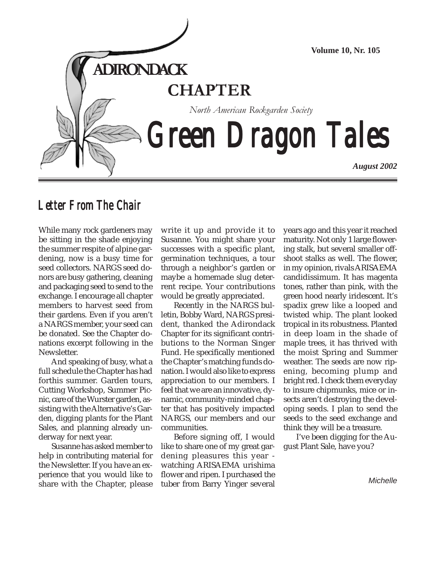

# *Letter From The Chair Letter From From The*

While many rock gardeners may be sitting in the shade enjoying the summer respite of alpine gardening, now is a busy time for seed collectors. NARGS seed donors are busy gathering, cleaning and packaging seed to send to the exchange. I encourage all chapter members to harvest seed from their gardens. Even if you aren't a NARGS member, your seed can be donated. See the Chapter donations excerpt following in the Newsletter.

And speaking of busy, what a full schedule the Chapter has had forthis summer. Garden tours, Cutting Workshop, Summer Picnic, care of the Wurster garden, assisting with the Alternative's Garden, digging plants for the Plant Sales, and planning already underway for next year.

Susanne has asked member to help in contributing material for the Newsletter. If you have an experience that you would like to share with the Chapter, please

write it up and provide it to Susanne. You might share your successes with a specific plant, germination techniques, a tour through a neighbor's garden or maybe a homemade slug deterrent recipe. Your contributions would be greatly appreciated.

Recently in the NARGS bulletin, Bobby Ward, NARGS president, thanked the Adirondack Chapter for its significant contributions to the Norman Singer Fund. He specifically mentioned the Chapter's matching funds donation. I would also like to express appreciation to our members. I feel that we are an innovative, dynamic, community-minded chapter that has positively impacted NARGS, our members and our communities.

Before signing off, I would like to share one of my great gardening pleasures this year watching ARISAEMA urishima flower and ripen. I purchased the tuber from Barry Yinger several years ago and this year it reached maturity. Not only 1 large flowering stalk, but several smaller offshoot stalks as well. The flower, in my opinion, rivals ARISAEMA candidissimum. It has magenta tones, rather than pink, with the green hood nearly iridescent. It's spadix grew like a looped and twisted whip. The plant looked tropical in its robustness. Planted in deep loam in the shade of maple trees, it has thrived with the moist Spring and Summer weather. The seeds are now ripening, becoming plump and bright red. I check them everyday to insure chipmunks, mice or insects aren't destroying the developing seeds. I plan to send the seeds to the seed exchange and think they will be a treasure.

I've been digging for the August Plant Sale, have you?

**Michelle**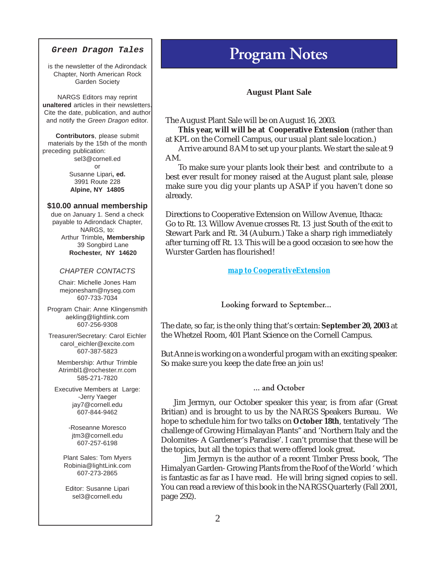#### **Green Dragon Tales**

is the newsletter of the Adirondack Chapter, North American Rock Garden Society

NARGS Editors may reprint **unaltered** articles in their newsletters. Cite the date, publication, and author and notify the Green Dragon editor.

**Contributors**, please submit materials by the 15th of the month preceding publication: sel3@cornell.ed or Susanne Lipari**, ed.** 3991 Route 228 **Alpine, NY 14805**

#### **\$10.00 annual membership**

due on January 1. Send a check payable to Adirondack Chapter, NARGS, to: Arthur Trimble**, Membership** 39 Songbird Lane **Rochester, NY 14620**

#### CHAPTER CONTACTS

Chair: Michelle Jones Ham mejonesham@nyseg.com 607-733-7034

Program Chair: Anne Klingensmith aekling@lightlink.com 607-256-9308

Treasurer/Secretary: Carol Eichler carol\_eichler@excite.com 607-387-5823

Membership: Arthur Trimble Atrimbl1@rochester.rr.com 585-271-7820

Executive Members at Large: -Jerry Yaeger jay7@cornell.edu 607-844-9462

> -Roseanne Moresco jtm3@cornell.edu 607-257-6198

Plant Sales: Tom Myers Robinia@lightLink.com 607-273-2865

Editor: Susanne Lipari sel3@cornell.edu

# **Program Notes**

### **August Plant Sale**

The August Plant Sale will be on August 16, 2003.

**This year, will will be at Cooperative Extension** (rather than at KPL on the Cornell Campus, our usual plant sale location.)

Arrive around 8 AM to set up your plants. We start the sale at 9 AM.

To make sure your plants look their best and contribute to a best ever result for money raised at the August plant sale, please make sure you dig your plants up ASAP if you haven't done so already.

Directions to Cooperative Extension on Willow Avenue, Ithaca: Go to Rt. 13. Willow Avenue crosses Rt. 13 just South of the exit to Stewart Park and Rt. 34 (Auburn.) Take a sharp righ immediately after turning off Rt. 13. This will be a good occasion to see how the Wurster Garden has flourished!

#### *[map to CooperativeExtension](http://maps.yahoo.com/py/maps.py?Pyt=Tmap&ed=6Oxovup_0ToTthiY8EbRzmR9sPEqOvpaPTfMd605JVp3oT8d6AaqPAyKuQ--&csz=Ithaca,+NY+14850-3555&country=us)*

**Looking forward to September...**

The date, so far, is the only thing that's certain: **September 20, 2003** at the Whetzel Room, 401 Plant Science on the Cornell Campus.

But Anne is working on a wonderful progam with an exciting speaker. So make sure you keep the date free an join us!

# **... and October**

Jim Jermyn, our October speaker this year, is from afar (Great Britian) and is brought to us by the NARGS Speakers Bureau. We hope to schedule him for two talks on **October 18th**, tentatively 'The challenge of Growing Himalayan Plants" and 'Northern Italy and the Dolomites- A Gardener's Paradise'. I can't promise that these will be the topics, but all the topics that were offered look great.

 Jim Jermyn is the author of a recent Timber Press book, 'The Himalyan Garden- Growing Plants from the Roof of the World ' which is fantastic as far as I have read. He will bring signed copies to sell. You can read a review of this book in the NARGS Quarterly (Fall 2001, page 292).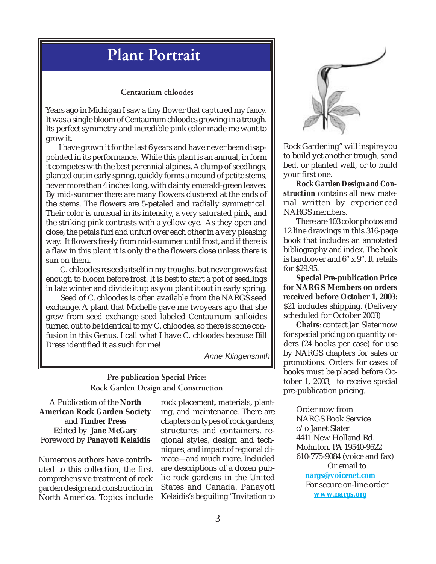# **Plant Portrait**

### **Centaurium chloodes**

Years ago in Michigan I saw a tiny flower that captured my fancy. It was a single bloom of Centaurium chloodes growing in a trough. Its perfect symmetry and incredible pink color made me want to grow it.

I have grown it for the last 6 years and have never been disappointed in its performance. While this plant is an annual, in form it competes with the best perennial alpines. A clump of seedlings, planted out in early spring, quickly forms a mound of petite stems, never more than 4 inches long, with dainty emerald-green leaves. By mid-summer there are many flowers clustered at the ends of the stems. The flowers are 5-petaled and radially symmetrical. Their color is unusual in its intensity, a very saturated pink, and the striking pink contrasts with a yellow eye. As they open and close, the petals furl and unfurl over each other in a very pleasing way. It flowers freely from mid-summer until frost, and if there is a flaw in this plant it is only the the flowers close unless there is sun on them.

 C. chloodes reseeds itself in my troughs, but never grows fast enough to bloom before frost. It is best to start a pot of seedlings in late winter and divide it up as you plant it out in early spring.

 Seed of C. chloodes is often available from the NARGS seed exchange. A plant that Michelle gave me twoyears ago that she grew from seed exchange seed labeled Centaurium scilloides turned out to be identical to my C. chloodes, so there is some confusion in this Genus. I call what I have C. chloodes because Bill Dress identified it as such for me!

Anne Klingensmith

# **Pre-publication Special Price: Rock Garden Design and Construction**

A Publication of the **North American Rock Garden Society** and **Timber Press** Edited by J**ane McGary** Foreword by **Panayoti Kelaidis**

Numerous authors have contributed to this collection, the first comprehensive treatment of rock garden design and construction in North America. Topics include

rock placement, materials, planting, and maintenance. There are chapters on types of rock gardens, structures and containers, regional styles, design and techniques, and impact of regional climate—and much more. Included are descriptions of a dozen public rock gardens in the United States and Canada. Panayoti Kelaidis's beguiling "Invitation to



Rock Gardening" will inspire you to build yet another trough, sand bed, or planted wall, or to build your first one.

*Rock Garden Design and Construction* contains all new material written by experienced NARGS members.

There are 103 color photos and 12 line drawings in this 316-page book that includes an annotated bibliography and index. The book is hardcover and 6" x 9". It retails for \$29.95.

**Special Pre-publication Price for NARGS Members on orders received before October 1, 2003:** \$21 includes shipping. (Delivery scheduled for October 2003)

**Chairs**: contact Jan Slater now for special pricing on quantity orders (24 books per case) for use by NARGS chapters for sales or promotions. Orders for cases of books must be placed before October 1, 2003, to receive special pre-publication pricing.

> Order now from NARGS Book Service c/o Janet Slater 4411 New Holland Rd. Mohnton, PA 19540-9522 610-775-9084 (voice and fax) Or email to *[nargs@voicenet.com](mailto:nargs@voicenet.org)* For secure on-line order *<www.nargs.org>*